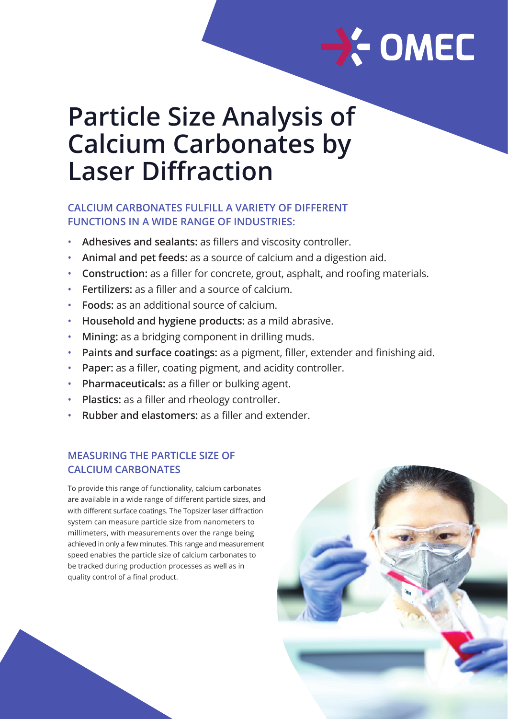

# **Particle Size Analysis of Calcium Carbonates by Laser Diffraction**

## **CALCIUM CARBONATES FULFILL A VARIETY OF DIFFERENT FUNCTIONS IN A WIDE RANGE OF INDUSTRIES:**

- **Adhesives and sealants:** as fillers and viscosity controller.
- **Animal and pet feeds:** as a source of calcium and a digestion aid.
- **Construction:** as a filler for concrete, grout, asphalt, and roofing materials.
- **Fertilizers:** as a filler and a source of calcium.
- **Foods:** as an additional source of calcium.
- **Household and hygiene products:** as a mild abrasive.
- **Mining:** as a bridging component in drilling muds.
- **Paints and surface coatings:** as a pigment, filler, extender and finishing aid.
- **Paper:** as a filler, coating pigment, and acidity controller.
- **Pharmaceuticals:** as a filler or bulking agent.
- **Plastics:** as a filler and rheology controller.
- **Rubber and elastomers:** as a filler and extender.

## **MEASURING THE PARTICLE SIZE OF CALCIUM CARBONATES**

To provide this range of functionality, calcium carbonates are available in a wide range of different particle sizes, and with different surface coatings. The Topsizer laser diffraction system can measure particle size from nanometers to millimeters, with measurements over the range being achieved in only a few minutes. This range and measurement speed enables the particle size of calcium carbonates to be tracked during production processes as well as in quality control of a final product.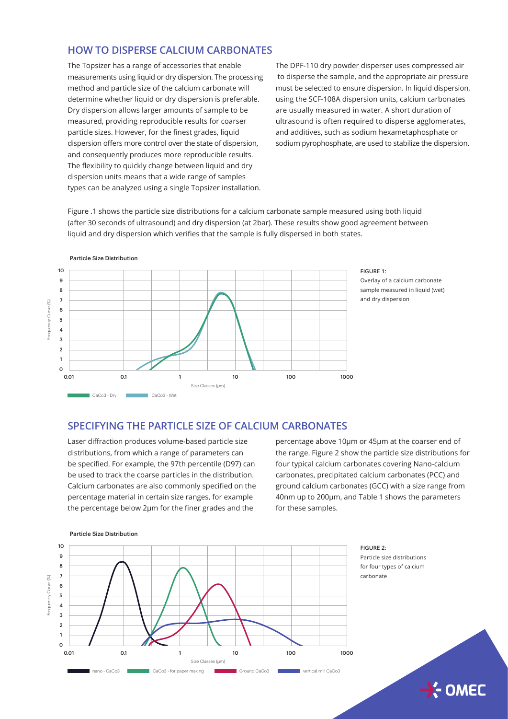## **HOW TO DISPERSE CALCIUM CARBONATES**

The Topsizer has a range of accessories that enable measurements using liquid or dry dispersion. The processing method and particle size of the calcium carbonate will determine whether liquid or dry dispersion is preferable. Dry dispersion allows larger amounts of sample to be measured, providing reproducible results for coarser particle sizes. However, for the finest grades, liquid dispersion offers more control over the state of dispersion, and consequently produces more reproducible results. The flexibility to quickly change between liquid and dry dispersion units means that a wide range of samples types can be analyzed using a single Topsizer installation.

The DPF-110 dry powder disperser uses compressed air to disperse the sample, and the appropriate air pressure must be selected to ensure dispersion. In liquid dispersion, using the SCF-108A dispersion units, calcium carbonates are usually measured in water. A short duration of ultrasound is often required to disperse agglomerates, and additives, such as sodium hexametaphosphate or sodium pyrophosphate, are used to stabilize the dispersion.

Figure .1 shows the particle size distributions for a calcium carbonate sample measured using both liquid (after 30 seconds of ultrasound) and dry dispersion (at 2bar). These results show good agreement between liquid and dry dispersion which verifies that the sample is fully dispersed in both states.



#### **FIGURE 1:**

Overlay of a calcium carbonate sample measured in liquid (wet) and dry dispersion

### **SPECIFYING THE PARTICLE SIZE OF CALCIUM CARBONATES**

Laser diffraction produces volume-based particle size distributions, from which a range of parameters can be specified. For example, the 97th percentile (D97) can be used to track the coarse particles in the distribution. Calcium carbonates are also commonly specified on the percentage material in certain size ranges, for example the percentage below 2μm for the finer grades and the

percentage above 10μm or 45μm at the coarser end of the range. Figure 2 show the particle size distributions for four typical calcium carbonates covering Nano-calcium carbonates, precipitated calcium carbonates (PCC) and ground calcium carbonates (GCC) with a size range from 40nm up to 200μm, and Table 1 shows the parameters for these samples.

 $\rightarrow$  OMEC



#### Particle Size Distribution

Particle Size Distribution